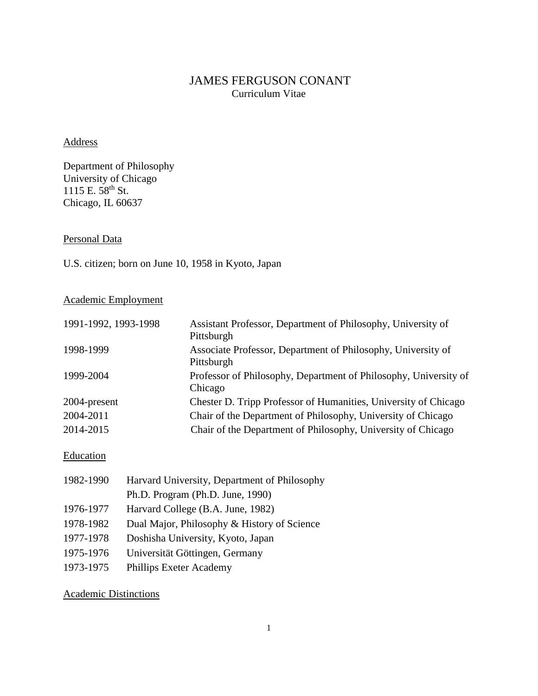# JAMES FERGUSON CONANT Curriculum Vitae

## Address

Department of Philosophy University of Chicago 1115 E. 58<sup>th</sup> St. Chicago, IL 60637

Personal Data

U.S. citizen; born on June 10, 1958 in Kyoto, Japan

## Academic Employment

| 1991-1992, 1993-1998 | Assistant Professor, Department of Philosophy, University of<br>Pittsburgh  |
|----------------------|-----------------------------------------------------------------------------|
| 1998-1999            | Associate Professor, Department of Philosophy, University of<br>Pittsburgh  |
| 1999-2004            | Professor of Philosophy, Department of Philosophy, University of<br>Chicago |
| 2004-present         | Chester D. Tripp Professor of Humanities, University of Chicago             |
| 2004-2011            | Chair of the Department of Philosophy, University of Chicago                |
| 2014-2015            | Chair of the Department of Philosophy, University of Chicago                |

## **Education**

| 1982-1990 | Harvard University, Department of Philosophy |
|-----------|----------------------------------------------|
|           | Ph.D. Program (Ph.D. June, 1990)             |
| 1976-1977 | Harvard College (B.A. June, 1982)            |
| 1978-1982 | Dual Major, Philosophy & History of Science  |
| 1977-1978 | Doshisha University, Kyoto, Japan            |
| 1975-1976 | Universität Göttingen, Germany               |
| 1973-1975 | Phillips Exeter Academy                      |

## Academic Distinctions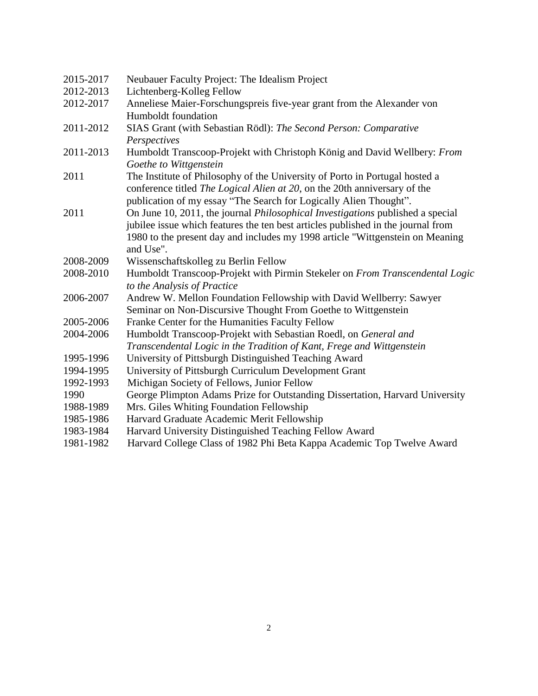| 2015-2017 | Neubauer Faculty Project: The Idealism Project                                                              |
|-----------|-------------------------------------------------------------------------------------------------------------|
| 2012-2013 | Lichtenberg-Kolleg Fellow                                                                                   |
| 2012-2017 | Anneliese Maier-Forschungspreis five-year grant from the Alexander von                                      |
|           | Humboldt foundation                                                                                         |
| 2011-2012 | SIAS Grant (with Sebastian Rödl): The Second Person: Comparative                                            |
|           | Perspectives                                                                                                |
| 2011-2013 | Humboldt Transcoop-Projekt with Christoph König and David Wellbery: From<br>Goethe to Wittgenstein          |
| 2011      | The Institute of Philosophy of the University of Porto in Portugal hosted a                                 |
|           | conference titled The Logical Alien at 20, on the 20th anniversary of the                                   |
|           | publication of my essay "The Search for Logically Alien Thought".                                           |
| 2011      | On June 10, 2011, the journal <i>Philosophical Investigations</i> published a special                       |
|           | jubilee issue which features the ten best articles published in the journal from                            |
|           | 1980 to the present day and includes my 1998 article "Wittgenstein on Meaning                               |
|           | and Use".                                                                                                   |
| 2008-2009 | Wissenschaftskolleg zu Berlin Fellow                                                                        |
| 2008-2010 | Humboldt Transcoop-Projekt with Pirmin Stekeler on From Transcendental Logic<br>to the Analysis of Practice |
| 2006-2007 | Andrew W. Mellon Foundation Fellowship with David Wellberry: Sawyer                                         |
|           | Seminar on Non-Discursive Thought From Goethe to Wittgenstein                                               |
| 2005-2006 | Franke Center for the Humanities Faculty Fellow                                                             |
| 2004-2006 | Humboldt Transcoop-Projekt with Sebastian Roedl, on General and                                             |
|           | Transcendental Logic in the Tradition of Kant, Frege and Wittgenstein                                       |
| 1995-1996 | University of Pittsburgh Distinguished Teaching Award                                                       |
| 1994-1995 | University of Pittsburgh Curriculum Development Grant                                                       |
| 1992-1993 | Michigan Society of Fellows, Junior Fellow                                                                  |
| 1990      | George Plimpton Adams Prize for Outstanding Dissertation, Harvard University                                |
| 1988-1989 | Mrs. Giles Whiting Foundation Fellowship                                                                    |
| 1985-1986 | Harvard Graduate Academic Merit Fellowship                                                                  |
| 1983-1984 | Harvard University Distinguished Teaching Fellow Award                                                      |
| 1981-1982 | Harvard College Class of 1982 Phi Beta Kappa Academic Top Twelve Award                                      |
|           |                                                                                                             |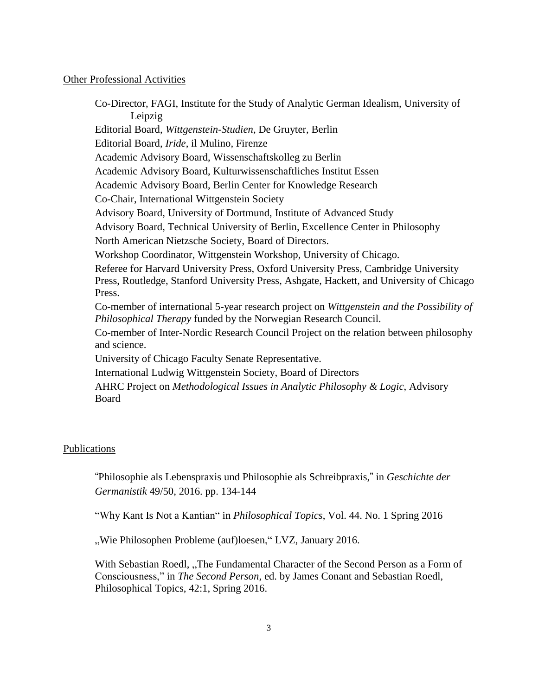### Other Professional Activities

Co-Director, FAGI, Institute for the Study of Analytic German Idealism, University of Leipzig Editorial Board, *Wittgenstein-Studien*, De Gruyter, Berlin Editorial Board, *Iride*, il Mulino, Firenze Academic Advisory Board, Wissenschaftskolleg zu Berlin Academic Advisory Board, Kulturwissenschaftliches Institut Essen Academic Advisory Board, Berlin Center for Knowledge Research Co-Chair, International Wittgenstein Society Advisory Board, University of Dortmund, Institute of Advanced Study Advisory Board, Technical University of Berlin, Excellence Center in Philosophy North American Nietzsche Society, Board of Directors. Workshop Coordinator, Wittgenstein Workshop, University of Chicago. Referee for Harvard University Press, Oxford University Press, Cambridge University Press, Routledge, Stanford University Press, Ashgate, Hackett, and University of Chicago Press. Co-member of international 5-year research project on *Wittgenstein and the Possibility of Philosophical Therapy* funded by the Norwegian Research Council. Co-member of Inter-Nordic Research Council Project on the relation between philosophy and science. University of Chicago Faculty Senate Representative. International Ludwig Wittgenstein Society, Board of Directors AHRC Project on *Methodological Issues in Analytic Philosophy & Logic*, Advisory Board

### Publications

"Philosophie als Lebenspraxis und Philosophie als Schreibpraxis," in *Geschichte der Germanistik* 49/50, 2016. pp. 134-144

"Why Kant Is Not a Kantian" in *Philosophical Topics*, Vol. 44. No. 1 Spring 2016

"Wie Philosophen Probleme (auf)loesen," LVZ, January 2016.

With Sebastian Roedl, "The Fundamental Character of the Second Person as a Form of Consciousness," in *The Second Person*, ed. by James Conant and Sebastian Roedl, Philosophical Topics, 42:1, Spring 2016.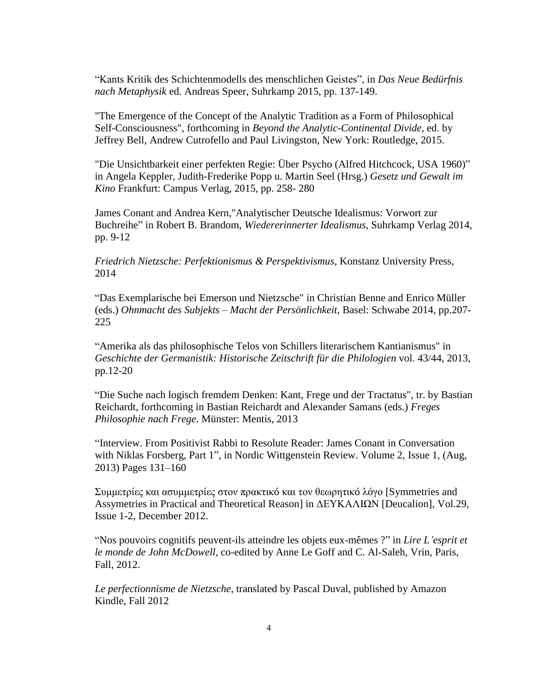"Kants Kritik des Schichtenmodells des menschlichen Geistes", in *Das Neue Bedürfnis nach Metaphysik* ed. Andreas Speer, Suhrkamp 2015, pp. 137-149.

"The Emergence of the Concept of the Analytic Tradition as a Form of Philosophical Self-Consciousness", forthcoming in *Beyond the Analytic-Continental Divide*, ed. by Jeffrey Bell, Andrew Cutrofello and Paul Livingston, New York: Routledge, 2015.

"Die Unsichtbarkeit einer perfekten Regie: Über Psycho (Alfred Hitchcock, USA 1960)" in Angela Keppler, Judith-Frederike Popp u. Martin Seel (Hrsg.) *Gesetz und Gewalt im Kino* Frankfurt: Campus Verlag, 2015, pp. 258- 280

James Conant and Andrea Kern,"Analytischer Deutsche Idealismus: Vorwort zur Buchreihe" in Robert B. Brandom, *Wiedererinnerter Idealismus*, Suhrkamp Verlag 2014, pp. 9-12

*Friedrich Nietzsche: Perfektionismus & Perspektivismus*, Konstanz University Press, 2014

"Das Exemplarische bei Emerson und Nietzsche" in Christian Benne and Enrico Müller (eds.) *Ohnmacht des Subjekts – Macht der Persönlichkeit*, Basel: Schwabe 2014, pp.207- 225

"Amerika als das philosophische Telos von Schillers literarischem Kantianismus" in *Geschichte der Germanistik: Historische Zeitschrift für die Philologien* vol. 43/44, 2013, pp.12-20

"Die Suche nach logisch fremdem Denken: Kant, Frege und der Tractatus", tr. by Bastian Reichardt, forthcoming in Bastian Reichardt and Alexander Samans (eds.) *Freges Philosophie nach Frege*. Münster: Mentis, 2013

"Interview. From Positivist Rabbi to Resolute Reader: James Conant in Conversation with Niklas Forsberg, Part 1", in Nordic Wittgenstein Review. Volume 2, Issue 1, (Aug, 2013) Pages 131–160

Συμμετρíες και ασυμμετρíες στον πρακτικó και τον θεωρητικó λóγο [Symmetries and Assymetries in Practical and Theoretical Reason] in ΔΕΥΚΑΛΙΩΝ [Deucalion], Vol.29, Issue 1-2, December 2012.

"Nos pouvoirs cognitifs peuvent-ils atteindre les objets eux-mêmes ?" in *Lire L'esprit et le monde de John McDowell*, co-edited by Anne Le Goff and C. Al‐Saleh, Vrin, Paris, Fall, 2012.

*Le perfectionnisme de Nietzsche*, translated by Pascal Duval, published by Amazon Kindle, Fall 2012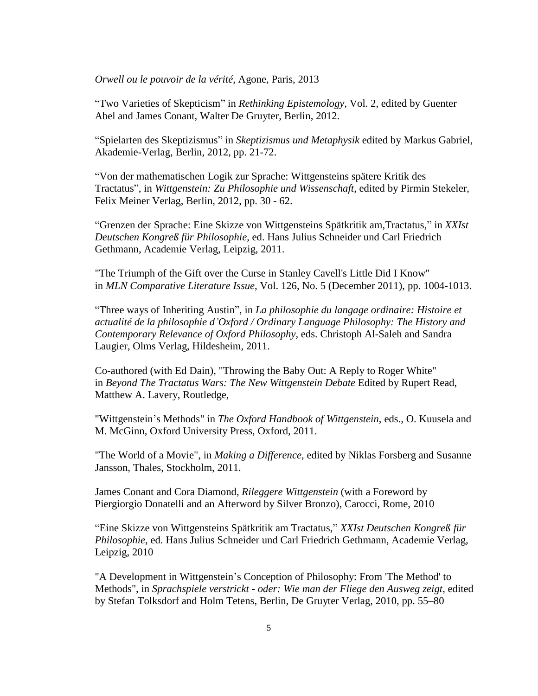*Orwell ou le pouvoir de la vérité*, Agone, Paris, 2013

"Two Varieties of Skepticism" in *Rethinking Epistemology,* Vol. 2, edited by Guenter Abel and James Conant, Walter De Gruyter, Berlin, 2012.

"Spielarten des Skeptizismus" in *Skeptizismus und Metaphysik* edited by Markus Gabriel, Akademie-Verlag, Berlin, 2012, pp. 21-72.

"Von der mathematischen Logik zur Sprache: Wittgensteins spätere Kritik des Tractatus", in *Wittgenstein: Zu Philosophie und Wissenschaft*, edited by Pirmin Stekeler, Felix Meiner Verlag, Berlin, 2012, pp. 30 - 62.

"Grenzen der Sprache: Eine Skizze von Wittgensteins Spätkritik am,Tractatus," in *XXIst Deutschen Kongreß für Philosophie*, ed. Hans Julius Schneider und Carl Friedrich Gethmann, Academie Verlag, Leipzig, 2011.

"The Triumph of the Gift over the Curse in Stanley Cavell's Little Did I Know" in *MLN Comparative Literature Issue*, Vol. 126, No. 5 (December 2011), pp. 1004-1013.

"Three ways of Inheriting Austin", in *La philosophie du langage ordinaire: Histoire et actualité de la philosophie d'Oxford / Ordinary Language Philosophy: The History and Contemporary Relevance of Oxford Philosophy,* eds. Christoph Al-Saleh and Sandra Laugier, Olms Verlag, Hildesheim, 2011.

Co-authored (with Ed Dain), "Throwing the Baby Out: A Reply to Roger White" in *Beyond The Tractatus Wars: The New Wittgenstein Debate* Edited by Rupert Read, Matthew A. Lavery, Routledge,

"Wittgenstein's Methods" in *The Oxford Handbook of Wittgenstein*, eds., O. Kuusela and M. McGinn, Oxford University Press, Oxford, 2011.

"The World of a Movie", in *Making a Difference,* edited by Niklas Forsberg and Susanne Jansson, Thales, Stockholm, 2011.

James Conant and Cora Diamond, *Rileggere Wittgenstein* (with a Foreword by Piergiorgio Donatelli and an Afterword by Silver Bronzo), Carocci, Rome, 2010

"Eine Skizze von Wittgensteins Spätkritik am Tractatus," *XXIst Deutschen Kongreß für Philosophie*, ed. Hans Julius Schneider und Carl Friedrich Gethmann, Academie Verlag, Leipzig, 2010

"A Development in Wittgenstein's Conception of Philosophy: From 'The Method' to Methods", in *Sprachspiele verstrickt - oder: Wie man der Fliege den Ausweg zeigt*, edited by Stefan Tolksdorf and Holm Tetens, Berlin, De Gruyter Verlag, 2010, pp. 55–80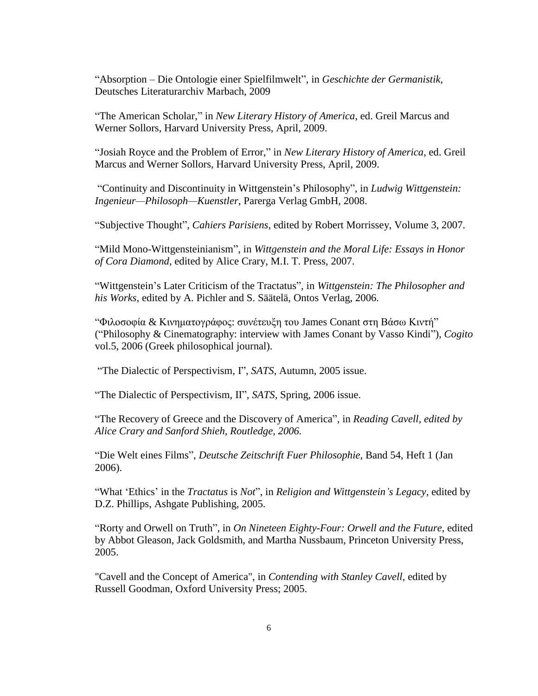"Absorption – Die Ontologie einer Spielfilmwelt", in *Geschichte der Germanistik*, Deutsches Literaturarchiv Marbach, 2009

"The American Scholar," in *New Literary History of America*, ed. Greil Marcus and Werner Sollors, Harvard University Press, April, 2009.

"Josiah Royce and the Problem of Error," in *New Literary History of America*, ed. Greil Marcus and Werner Sollors, Harvard University Press, April, 2009.

"Continuity and Discontinuity in Wittgenstein's Philosophy", in *Ludwig Wittgenstein: Ingenieur—Philosoph—Kuenstler*, Parerga Verlag GmbH, 2008.

"Subjective Thought", *Cahiers Parisiens*, edited by Robert Morrissey, Volume 3, 2007.

"Mild Mono-Wittgensteinianism", in *Wittgenstein and the Moral Life: Essays in Honor of Cora Diamond,* edited by Alice Crary, M.I. T. Press, 2007.

"Wittgenstein's Later Criticism of the Tractatus", in *Wittgenstein: The Philosopher and his Works*, edited by A. Pichler and S. Säätelä, Ontos Verlag, 2006.

"Φιλοσοφία & Κινηματογράφος: συνέτευξη του James Conant στη Βάσω Κιντή" ("Philosophy & Cinematography: interview with James Conant by Vasso Kindi"), *Cogito* vol.5, 2006 (Greek philosophical journal).

"The Dialectic of Perspectivism, I", *SATS*, Autumn, 2005 issue.

"The Dialectic of Perspectivism, II", *SATS*, Spring, 2006 issue.

"The Recovery of Greece and the Discovery of America", in *[Reading](http://libcat.uchicago.edu/ipac20/ipac.jsp?session=11448R81F19K9.114153&profile=ucres&uri=full=3100002~!5889821~!1&ri=2&aspect=reserves&menu=search&source=~!horizon) Cavell, edited by Alice Crary and Sanford Shieh, [Routledge,](http://libcat.uchicago.edu/ipac20/ipac.jsp?session=11448R81F19K9.114153&profile=ucres&uri=full=3100002~!5889821~!1&ri=2&aspect=reserves&menu=search&source=~!horizon) 2006.*

"Die Welt eines Films", *Deutsche Zeitschrift Fuer Philosophie*, Band 54, Heft 1 (Jan 2006).

"What 'Ethics' in the *Tractatus* is *Not*", in *Religion and Wittgenstein's Legacy*, edited by D.Z. Phillips, Ashgate Publishing, 2005.

"Rorty and Orwell on Truth", in *On Nineteen Eighty-Four: Orwell and the Future,* edited by Abbot Gleason, Jack Goldsmith, and Martha Nussbaum, Princeton University Press, 2005.

"Cavell and the Concept of America", in *Contending with Stanley Cavell*, edited by Russell Goodman, Oxford University Press; 2005.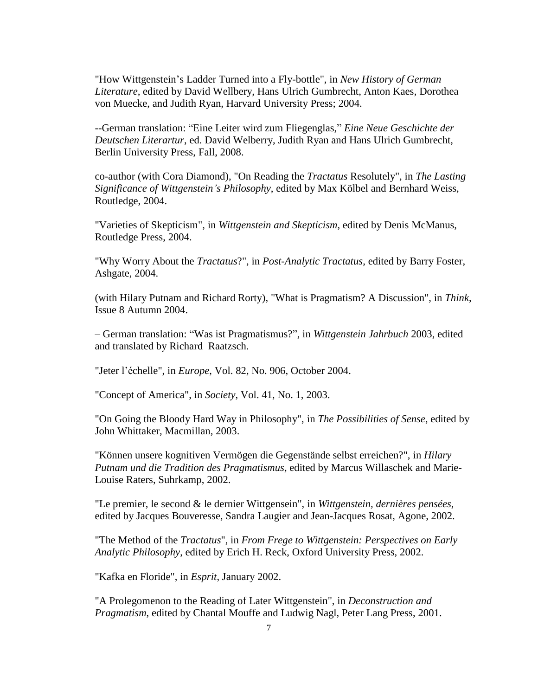"How Wittgenstein's Ladder Turned into a Fly-bottle", in *New History of German Literature*, edited by David Wellbery, Hans Ulrich Gumbrecht, Anton Kaes, Dorothea von Muecke, and Judith Ryan, Harvard University Press; 2004.

--German translation: "Eine Leiter wird zum Fliegenglas," *Eine Neue Geschichte der Deutschen Literartur*, ed. David Welberry, Judith Ryan and Hans Ulrich Gumbrecht, Berlin University Press, Fall, 2008.

co-author (with Cora Diamond), "On Reading the *Tractatus* Resolutely", in *The Lasting Significance of Wittgenstein's Philosophy*, edited by Max Kölbel and Bernhard Weiss, Routledge, 2004.

"Varieties of Skepticism", in *Wittgenstein and Skepticism*, edited by Denis McManus, Routledge Press, 2004.

"Why Worry About the *Tractatus*?", in *Post-Analytic Tractatus*, edited by Barry Foster, Ashgate, 2004.

(with Hilary Putnam and Richard Rorty), "What is Pragmatism? A Discussion", in *Think*, Issue 8 Autumn 2004.

– German translation: "Was ist Pragmatismus?", in *Wittgenstein Jahrbuch* 2003, edited and translated by Richard Raatzsch.

"Jeter l'échelle", in *Europe*, Vol. 82, No. 906, October 2004.

"Concept of America", in *Society*, Vol. 41, No. 1, 2003.

"On Going the Bloody Hard Way in Philosophy", in *The Possibilities of Sense*, edited by John Whittaker, Macmillan, 2003.

"Können unsere kognitiven Vermögen die Gegenstände selbst erreichen?", in *Hilary Putnam und die Tradition des Pragmatismus*, edited by Marcus Willaschek and Marie-Louise Raters, Suhrkamp, 2002.

"Le premier, le second & le dernier Wittgensein", in *Wittgenstein, dernières pensées*, edited by Jacques Bouveresse, Sandra Laugier and Jean-Jacques Rosat, Agone, 2002.

"The Method of the *Tractatus*", in *From Frege to Wittgenstein: Perspectives on Early Analytic Philosophy*, edited by Erich H. Reck, Oxford University Press, 2002.

"Kafka en Floride", in *Esprit*, January 2002.

"A Prolegomenon to the Reading of Later Wittgenstein", in *Deconstruction and Pragmatism*, edited by Chantal Mouffe and Ludwig Nagl, Peter Lang Press, 2001.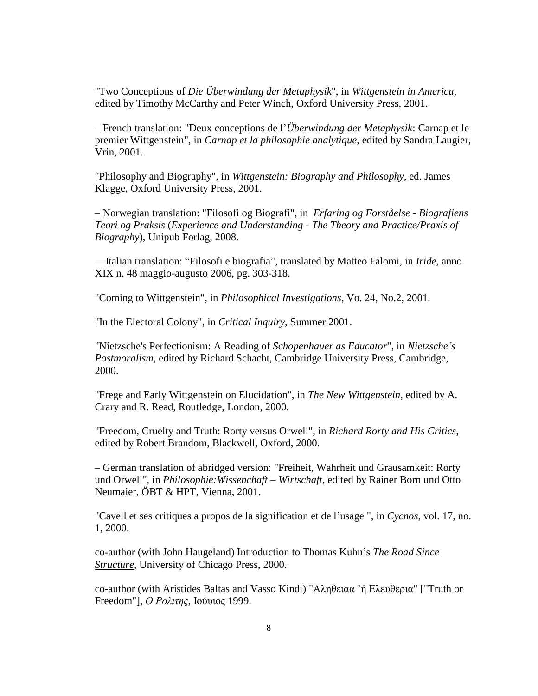"Two Conceptions of *Die Überwindung der Metaphysik*", in *Wittgenstein in America*, edited by Timothy McCarthy and Peter Winch, Oxford University Press, 2001.

– French translation: "Deux conceptions de l'*Überwindung der Metaphysik*: Carnap et le premier Wittgenstein", in *Carnap et la philosophie analytique*, edited by Sandra Laugier, Vrin, 2001.

"Philosophy and Biography", in *Wittgenstein: Biography and Philosophy*, ed. James Klagge, Oxford University Press, 2001.

– Norwegian translation: "Filosofi og Biografi", in *Erfaring og Forståelse - Biografiens Teori og Praksis* (*Experience and Understanding - The Theory and Practice/Praxis of Biography*), Unipub Forlag, 2008.

—Italian translation: "Filosofi e biografia", translated by Matteo Falomi, in *Iride,* anno XIX n. 48 maggio-augusto 2006*,* pg. 303-318.

"Coming to Wittgenstein", in *Philosophical Investigations*, Vo. 24, No.2, 2001.

"In the Electoral Colony", in *Critical Inquiry*, Summer 2001.

"Nietzsche's Perfectionism: A Reading of *Schopenhauer as Educator*", in *Nietzsche's Postmoralism*, edited by Richard Schacht, Cambridge University Press, Cambridge, 2000.

"Frege and Early Wittgenstein on Elucidation", in *The New Wittgenstein*, edited by A. Crary and R. Read, Routledge, London, 2000.

"Freedom, Cruelty and Truth: Rorty versus Orwell", in *Richard Rorty and His Critics*, edited by Robert Brandom, Blackwell, Oxford, 2000.

– German translation of abridged version: "Freiheit, Wahrheit und Grausamkeit: Rorty und Orwell", in *Philosophie:Wissenchaft – Wirtschaft*, edited by Rainer Born und Otto Neumaier, ÖBT & HPT, Vienna, 2001.

"Cavell et ses critiques a propos de la signification et de l'usage ", in *Cycnos*, vol. 17, no. 1, 2000.

co-author (with John Haugeland) Introduction to Thomas Kuhn's *The Road Since Structure*, University of Chicago Press, 2000.

co-author (with Aristides Baltas and Vasso Kindi) "Αληθειαα 'ή Ελευθερια" ["Truth or Freedom"], *Ο Ρολιτης*, Ιούυιος 1999.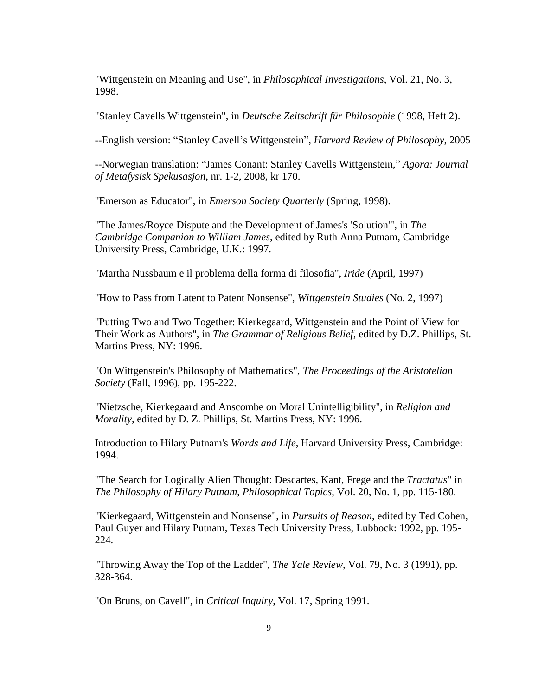"Wittgenstein on Meaning and Use", in *Philosophical Investigations*, Vol. 21, No. 3, 1998.

"Stanley Cavells Wittgenstein", in *Deutsche Zeitschrift für Philosophie* (1998, Heft 2).

--English version: "Stanley Cavell's Wittgenstein", *Harvard Review of Philosophy*, 2005

--Norwegian translation: "James Conant: Stanley Cavells Wittgenstein," *Agora: Journal of Metafysisk Spekusasjon*, nr. 1-2, 2008, kr 170.

"Emerson as Educator", in *Emerson Society Quarterly* (Spring, 1998).

"The James/Royce Dispute and the Development of James's 'Solution'", in *The Cambridge Companion to William James*, edited by Ruth Anna Putnam, Cambridge University Press, Cambridge, U.K.: 1997.

"Martha Nussbaum e il problema della forma di filosofia", *Iride* (April, 1997)

"How to Pass from Latent to Patent Nonsense", *Wittgenstein Studies* (No. 2, 1997)

"Putting Two and Two Together: Kierkegaard, Wittgenstein and the Point of View for Their Work as Authors", in *The Grammar of Religious Belief*, edited by D.Z. Phillips, St. Martins Press, NY: 1996.

"On Wittgenstein's Philosophy of Mathematics", *The Proceedings of the Aristotelian Society* (Fall, 1996), pp. 195-222.

"Nietzsche, Kierkegaard and Anscombe on Moral Unintelligibility", in *Religion and Morality*, edited by D. Z. Phillips, St. Martins Press, NY: 1996.

Introduction to Hilary Putnam's *Words and Life*, Harvard University Press, Cambridge: 1994.

"The Search for Logically Alien Thought: Descartes, Kant, Frege and the *Tractatus*" in *The Philosophy of Hilary Putnam*, *Philosophical Topics*, Vol. 20, No. 1, pp. 115-180.

"Kierkegaard, Wittgenstein and Nonsense", in *Pursuits of Reason*, edited by Ted Cohen, Paul Guyer and Hilary Putnam, Texas Tech University Press, Lubbock: 1992, pp. 195- 224.

"Throwing Away the Top of the Ladder", *The Yale Review*, Vol. 79, No. 3 (1991), pp. 328-364.

"On Bruns, on Cavell", in *Critical Inquiry*, Vol. 17, Spring 1991.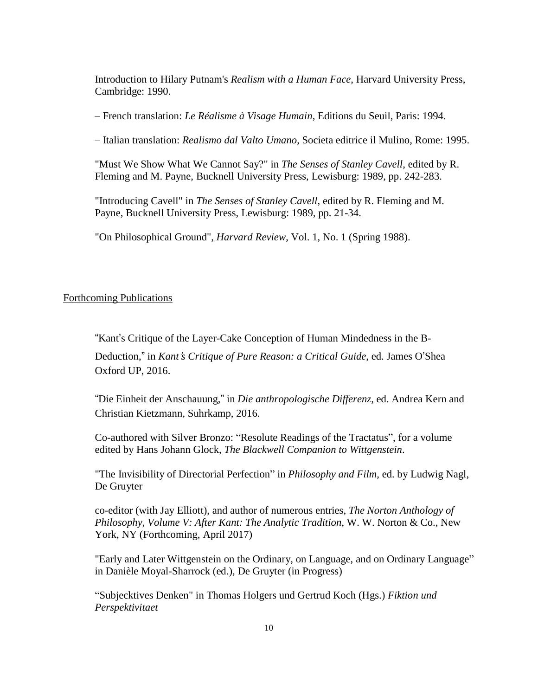Introduction to Hilary Putnam's *Realism with a Human Face*, Harvard University Press, Cambridge: 1990.

– French translation: *Le Réalisme à Visage Humain*, Editions du Seuil, Paris: 1994.

– Italian translation: *Realismo dal Valto Umano*, Societa editrice il Mulino, Rome: 1995.

"Must We Show What We Cannot Say?" in *The Senses of Stanley Cavell*, edited by R. Fleming and M. Payne, Bucknell University Press, Lewisburg: 1989, pp. 242-283.

"Introducing Cavell" in *The Senses of Stanley Cavell*, edited by R. Fleming and M. Payne, Bucknell University Press, Lewisburg: 1989, pp. 21-34.

"On Philosophical Ground", *Harvard Review*, Vol. 1, No. 1 (Spring 1988).

### Forthcoming Publications

"Kant's Critique of the Layer-Cake Conception of Human Mindedness in the B-

Deduction," in *Kant*'*s Critique of Pure Reason: a Critical Guide*, ed. James O'Shea Oxford UP, 2016.

"Die Einheit der Anschauung," in *Die anthropologische Differenz*, ed. Andrea Kern and Christian Kietzmann, Suhrkamp, 2016.

Co-authored with Silver Bronzo: "Resolute Readings of the Tractatus", for a volume edited by Hans Johann Glock, *The Blackwell Companion to Wittgenstein*.

"The Invisibility of Directorial Perfection" in *Philosophy and Film*, ed. by Ludwig Nagl, De Gruyter

co-editor (with Jay Elliott), and author of numerous entries, *The Norton Anthology of Philosophy, Volume V: After Kant: The Analytic Tradition*, W. W. Norton & Co., New York, NY (Forthcoming, April 2017)

"Early and Later Wittgenstein on the Ordinary, on Language, and on Ordinary Language" in Danièle Moyal-Sharrock (ed.), De Gruyter (in Progress)

"Subjecktives Denken" in Thomas Holgers und Gertrud Koch (Hgs.) *Fiktion und Perspektivitaet*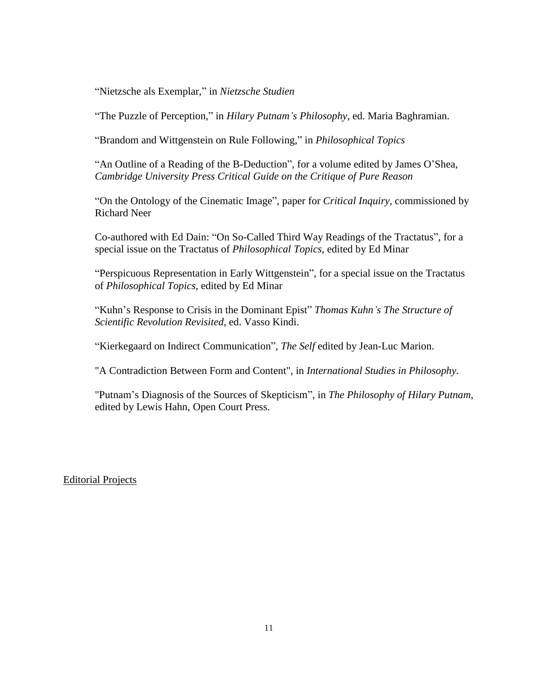"Nietzsche als Exemplar," in *Nietzsche Studien*

"The Puzzle of Perception," in *Hilary Putnam's Philosophy*, ed. Maria Baghramian.

"Brandom and Wittgenstein on Rule Following," in *Philosophical Topics*

"An Outline of a Reading of the B-Deduction", for a volume edited by James O'Shea, *Cambridge University Press Critical Guide on the Critique of Pure Reason*

"On the Ontology of the Cinematic Image", paper for *Critical Inquiry*, commissioned by Richard Neer

Co-authored with Ed Dain: "On So-Called Third Way Readings of the Tractatus", for a special issue on the Tractatus of *Philosophical Topics*, edited by Ed Minar

"Perspicuous Representation in Early Wittgenstein", for a special issue on the Tractatus of *Philosophical Topics*, edited by Ed Minar

"Kuhn's Response to Crisis in the Dominant Epist" *Thomas Kuhn's The Structure of Scientific Revolution Revisited*, ed. Vasso Kindi.

"Kierkegaard on Indirect Communication", *The Self* edited by Jean-Luc Marion.

"A Contradiction Between Form and Content", in *International Studies in Philosophy*.

"Putnam's Diagnosis of the Sources of Skepticism", in *The Philosophy of Hilary Putnam*, edited by Lewis Hahn, Open Court Press.

Editorial Projects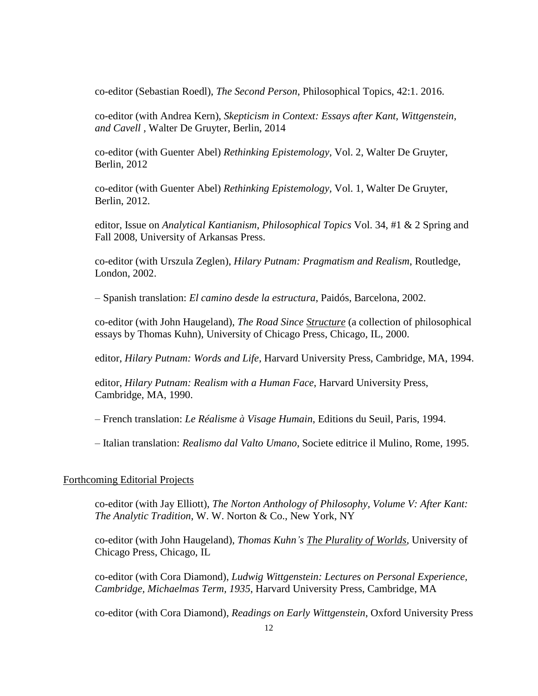co-editor (Sebastian Roedl), *The Second Person*, Philosophical Topics, 42:1. 2016.

co-editor (with Andrea Kern), *Skepticism in Context: Essays after Kant, Wittgenstein, and Cavell ,* Walter De Gruyter, Berlin, 2014

co-editor (with Guenter Abel) *Rethinking Epistemology,* Vol. 2, Walter De Gruyter, Berlin, 2012

co-editor (with Guenter Abel) *Rethinking Epistemology,* Vol. 1, Walter De Gruyter, Berlin, 2012.

editor, Issue on *Analytical Kantianism*, *Philosophical Topics* Vol. 34, #1 & 2 Spring and Fall 2008, University of Arkansas Press.

co-editor (with Urszula Zeglen), *Hilary Putnam: Pragmatism and Realism*, Routledge, London, 2002.

– Spanish translation: *El camino desde la estructura*, Paidós, Barcelona, 2002.

co-editor (with John Haugeland), *The Road Since Structure* (a collection of philosophical essays by Thomas Kuhn), University of Chicago Press, Chicago, IL, 2000.

editor, *Hilary Putnam: Words and Life*, Harvard University Press, Cambridge, MA, 1994.

editor, *Hilary Putnam: Realism with a Human Face*, Harvard University Press, Cambridge, MA, 1990.

– French translation: *Le Réalisme à Visage Humain*, Editions du Seuil, Paris, 1994.

– Italian translation: *Realismo dal Valto Umano*, Societe editrice il Mulino, Rome, 1995.

#### Forthcoming Editorial Projects

co-editor (with Jay Elliott), *The Norton Anthology of Philosophy, Volume V: After Kant: The Analytic Tradition*, W. W. Norton & Co., New York, NY

co-editor (with John Haugeland), *Thomas Kuhn's The Plurality of Worlds*, University of Chicago Press, Chicago, IL

co-editor (with Cora Diamond), *Ludwig Wittgenstein: Lectures on Personal Experience, Cambridge, Michaelmas Term, 1935*, Harvard University Press, Cambridge, MA

co-editor (with Cora Diamond), *Readings on Early Wittgenstein*, Oxford University Press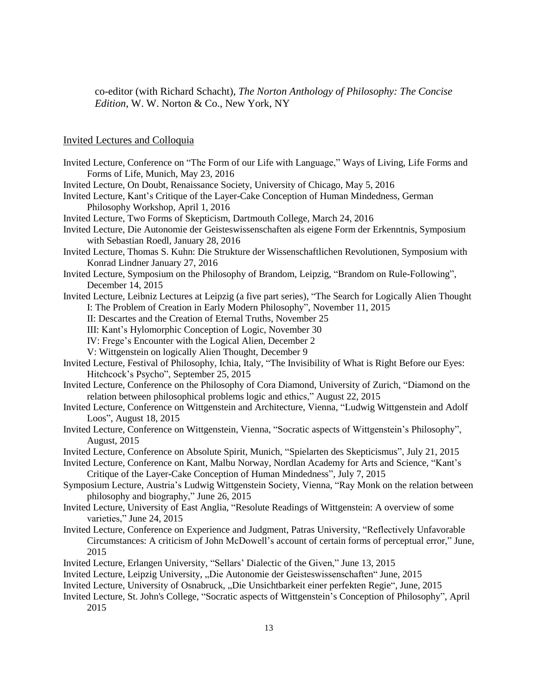co-editor (with Richard Schacht), *The Norton Anthology of Philosophy: The Concise Edition*, W. W. Norton & Co., New York, NY

# Invited Lectures and Colloquia

| Invited Lecture, Conference on "The Form of our Life with Language," Ways of Living, Life Forms and             |
|-----------------------------------------------------------------------------------------------------------------|
| Forms of Life, Munich, May 23, 2016                                                                             |
| Invited Lecture, On Doubt, Renaissance Society, University of Chicago, May 5, 2016                              |
| Invited Lecture, Kant's Critique of the Layer-Cake Conception of Human Mindedness, German                       |
| Philosophy Workshop, April 1, 2016                                                                              |
| Invited Lecture, Two Forms of Skepticism, Dartmouth College, March 24, 2016                                     |
| Invited Lecture, Die Autonomie der Geisteswissenschaften als eigene Form der Erkenntnis, Symposium              |
| with Sebastian Roedl, January 28, 2016                                                                          |
| Invited Lecture, Thomas S. Kuhn: Die Strukture der Wissenschaftlichen Revolutionen, Symposium with              |
| Konrad Lindner January 27, 2016                                                                                 |
| Invited Lecture, Symposium on the Philosophy of Brandom, Leipzig, "Brandom on Rule-Following",                  |
| December 14, 2015                                                                                               |
| Invited Lecture, Leibniz Lectures at Leipzig (a five part series), "The Search for Logically Alien Thought      |
| I: The Problem of Creation in Early Modern Philosophy", November 11, 2015                                       |
| II: Descartes and the Creation of Eternal Truths, November 25                                                   |
| III: Kant's Hylomorphic Conception of Logic, November 30                                                        |
| IV: Frege's Encounter with the Logical Alien, December 2                                                        |
| V: Wittgenstein on logically Alien Thought, December 9                                                          |
| Invited Lecture, Festival of Philosophy, Ichia, Italy, "The Invisibility of What is Right Before our Eyes:      |
| Hitchcock's Psycho", September 25, 2015                                                                         |
| Invited Lecture, Conference on the Philosophy of Cora Diamond, University of Zurich, "Diamond on the            |
| relation between philosophical problems logic and ethics," August 22, 2015                                      |
| Invited Lecture, Conference on Wittgenstein and Architecture, Vienna, "Ludwig Wittgenstein and Adolf            |
| Loos", August 18, 2015                                                                                          |
| Invited Lecture, Conference on Wittgenstein, Vienna, "Socratic aspects of Wittgenstein's Philosophy",           |
| August, 2015                                                                                                    |
| Invited Lecture, Conference on Absolute Spirit, Munich, "Spielarten des Skepticismus", July 21, 2015            |
| Invited Lecture, Conference on Kant, Malbu Norway, Nordlan Academy for Arts and Science, "Kant's                |
| Critique of the Layer-Cake Conception of Human Mindedness", July 7, 2015                                        |
| Symposium Lecture, Austria's Ludwig Wittgenstein Society, Vienna, "Ray Monk on the relation between             |
| philosophy and biography," June 26, 2015                                                                        |
| Invited Lecture, University of East Anglia, "Resolute Readings of Wittgenstein: A overview of some              |
| varieties," June 24, 2015                                                                                       |
| Invited Lecture, Conference on Experience and Judgment, Patras University, "Reflectively Unfavorable            |
| Circumstances: A criticism of John McDowell's account of certain forms of perceptual error," June,              |
| 2015                                                                                                            |
| Invited Lecture, Erlangen University, "Sellars' Dialectic of the Given," June 13, 2015                          |
| Invited Lecture, Leipzig University, "Die Autonomie der Geisteswissenschaften" June, 2015                       |
| Invited Lecture, University of Osnabruck, "Die Unsichtbarkeit einer perfekten Regie", June, 2015                |
| Lucited Lecture $\Omega$ . Lebrals Collage (Coquetie consets of Wittgeweters) Consention of Dhilosophy"), April |

Invited Lecture, St. John's College, "Socratic aspects of Wittgenstein's Conception of Philosophy", April 2015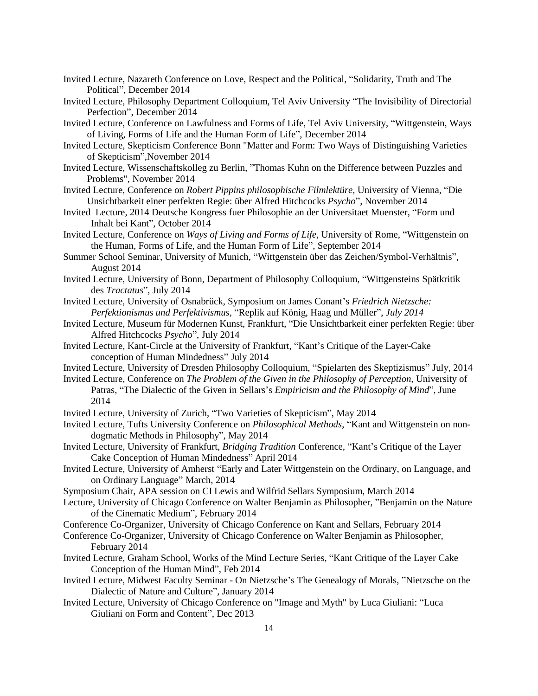- Invited Lecture, Nazareth Conference on Love, Respect and the Political, "Solidarity, Truth and The Political", December 2014
- Invited Lecture, Philosophy Department Colloquium, Tel Aviv University "The Invisibility of Directorial Perfection", December 2014
- Invited Lecture, Conference on Lawfulness and Forms of Life, Tel Aviv University, "Wittgenstein, Ways of Living, Forms of Life and the Human Form of Life", December 2014
- Invited Lecture, Skepticism Conference Bonn "Matter and Form: Two Ways of Distinguishing Varieties of Skepticism",November 2014
- Invited Lecture, Wissenschaftskolleg zu Berlin, "Thomas Kuhn on the Difference between Puzzles and Problems", November 2014
- Invited Lecture, Conference on *Robert Pippins philosophische Filmlektüre*, University of Vienna, "Die Unsichtbarkeit einer perfekten Regie: über Alfred Hitchcocks *Psycho*", November 2014
- Invited Lecture, 2014 Deutsche Kongress fuer Philosophie an der Universitaet Muenster, "Form und Inhalt bei Kant", October 2014
- Invited Lecture, Conference on *Ways of Living and Forms of Life*, University of Rome, "Wittgenstein on the Human, Forms of Life, and the Human Form of Life", September 2014
- Summer School Seminar, University of Munich, "Wittgenstein über das Zeichen/Symbol-Verhältnis", August 2014
- Invited Lecture, University of Bonn, Department of Philosophy Colloquium, "Wittgensteins Spätkritik des *Tractatus*", July 2014
- Invited Lecture, University of Osnabrück, Symposium on James Conant's *Friedrich Nietzsche: Perfektionismus und Perfektivismus,* "Replik auf König, Haag und Müller", *July 2014*
- Invited Lecture, Museum für Modernen Kunst, Frankfurt, "Die Unsichtbarkeit einer perfekten Regie: über Alfred Hitchcocks *Psycho*", July 2014
- Invited Lecture, Kant-Circle at the University of Frankfurt, "Kant's Critique of the Layer-Cake conception of Human Mindedness" July 2014
- Invited Lecture, University of Dresden Philosophy Colloquium, "Spielarten des Skeptizismus" July, 2014
- Invited Lecture, Conference on *The Problem of the Given in the Philosophy of Perception,* University of Patras, "The Dialectic of the Given in Sellars's *Empiricism and the Philosophy of Mind*", June 2014
- Invited Lecture, University of Zurich, "Two Varieties of Skepticism", May 2014
- Invited Lecture, Tufts University Conference on *Philosophical Methods*, "Kant and Wittgenstein on nondogmatic Methods in Philosophy", May 2014
- Invited Lecture, University of Frankfurt, *Bridging Tradition* Conference, "Kant's Critique of the Layer Cake Conception of Human Mindedness" April 2014
- Invited Lecture, University of Amherst "Early and Later Wittgenstein on the Ordinary, on Language, and on Ordinary Language" March, 2014
- Symposium Chair, APA session on CI Lewis and Wilfrid Sellars Symposium, March 2014
- Lecture, University of Chicago Conference on Walter Benjamin as Philosopher, "Benjamin on the Nature of the Cinematic Medium", February 2014
- Conference Co-Organizer, University of Chicago Conference on Kant and Sellars, February 2014
- Conference Co-Organizer, University of Chicago Conference on Walter Benjamin as Philosopher, February 2014
- Invited Lecture, Graham School, Works of the Mind Lecture Series, "Kant Critique of the Layer Cake Conception of the Human Mind", Feb 2014
- Invited Lecture, Midwest Faculty Seminar On Nietzsche's The Genealogy of Morals, "Nietzsche on the Dialectic of Nature and Culture", January 2014
- Invited Lecture, University of Chicago Conference on "Image and Myth" by Luca Giuliani: "Luca Giuliani on Form and Content", Dec 2013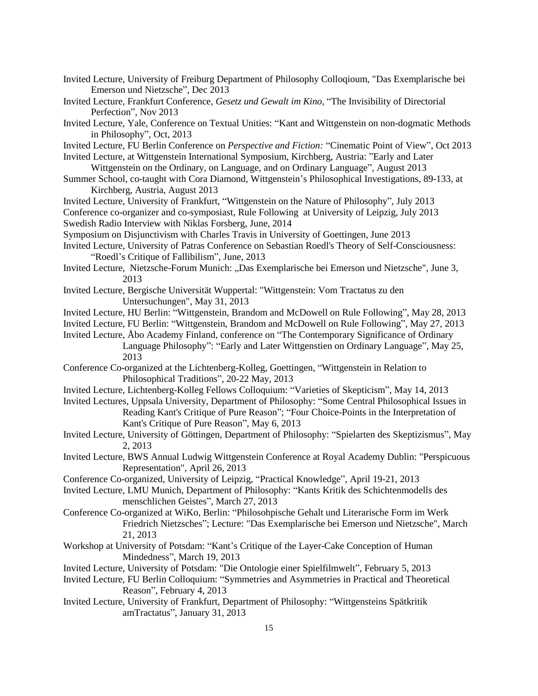- Invited Lecture, University of Freiburg Department of Philosophy Colloqioum, "Das Exemplarische bei Emerson und Nietzsche", Dec 2013
- Invited Lecture, Frankfurt Conference, *Gesetz und Gewalt im Kino*, "The Invisibility of Directorial Perfection", Nov 2013
- Invited Lecture, Yale, Conference on Textual Unities: "Kant and Wittgenstein on non-dogmatic Methods in Philosophy", Oct, 2013
- Invited Lecture, FU Berlin Conference on *Perspective and Fiction:* "Cinematic Point of View", Oct 2013

Invited Lecture, at Wittgenstein International Symposium, Kirchberg, Austria: "Early and Later

- Wittgenstein on the Ordinary, on Language, and on Ordinary Language", August 2013 Summer School, co-taught with Cora Diamond, Wittgenstein's Philosophical Investigations, 89-133, at Kirchberg, Austria, August 2013
- Invited Lecture, University of Frankfurt, "Wittgenstein on the Nature of Philosophy", July 2013 Conference co-organizer and co-symposiast, Rule Following at University of Leipzig, July 2013 Swedish Radio Interview with Niklas Forsberg, June, 2014

Symposium on Disjunctivism with Charles Travis in University of Goettingen, June 2013

Invited Lecture, University of Patras Conference on Sebastian Roedl's Theory of Self-Consciousness: "Roedl's Critique of Fallibilism", June, 2013

- Invited Lecture, Nietzsche-Forum Munich: "Das Exemplarische bei Emerson und Nietzsche", June 3, 2013
- Invited Lecture, Bergische Universität Wuppertal: "Wittgenstein: Vom Tractatus zu den Untersuchungen", May 31, 2013
- Invited Lecture, HU Berlin: "Wittgenstein, Brandom and McDowell on Rule Following", May 28, 2013
- Invited Lecture, FU Berlin: "Wittgenstein, Brandom and McDowell on Rule Following", May 27, 2013

Invited Lecture, Åbo Academy Finland, conference on "The Contemporary Significance of Ordinary Language Philosophy": "Early and Later Wittgenstien on Ordinary Language", May 25, 2013

- Conference Co-organized at the Lichtenberg-Kolleg, Goettingen, "Wittgenstein in Relation to Philosophical Traditions", 20-22 May, 2013
- Invited Lecture, Lichtenberg-Kolleg Fellows Colloquium: "Varieties of Skepticism", May 14, 2013
- Invited Lectures, Uppsala University, Department of Philosophy: "Some Central Philosophical Issues in Reading Kant's Critique of Pure Reason"; "Four Choice-Points in the Interpretation of Kant's Critique of Pure Reason", May 6, 2013
- Invited Lecture, University of Göttingen, Department of Philosophy: "Spielarten des Skeptizismus", May 2, 2013
- Invited Lecture, BWS Annual Ludwig Wittgenstein Conference at Royal Academy Dublin: "Perspicuous Representation", April 26, 2013
- Conference Co-organized, University of Leipzig, "Practical Knowledge", April 19-21, 2013

Invited Lecture, LMU Munich, Department of Philosophy: "Kants Kritik des Schichtenmodells des menschlichen Geistes", March 27, 2013

- Conference Co-organized at WiKo, Berlin: "Philosohpische Gehalt und Literarische Form im Werk Friedrich Nietzsches"; Lecture: "Das Exemplarische bei Emerson und Nietzsche", March 21, 2013
- Workshop at University of Potsdam: "Kant's Critique of the Layer-Cake Conception of Human Mindedness", March 19, 2013
- Invited Lecture, University of Potsdam: "Die Ontologie einer Spielfilmwelt", February 5, 2013
- Invited Lecture, FU Berlin Colloquium: "Symmetries and Asymmetries in Practical and Theoretical Reason", February 4, 2013
- Invited Lecture, University of Frankfurt, Department of Philosophy: "Wittgensteins Spätkritik amTractatus", January 31, 2013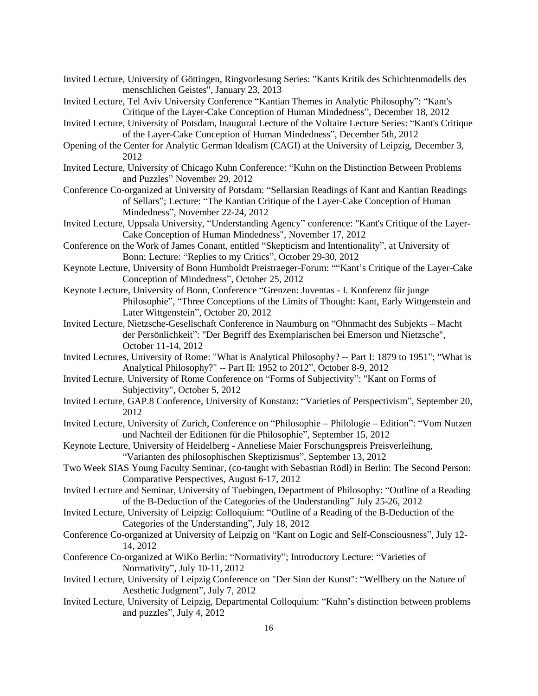- Invited Lecture, University of Göttingen, Ringvorlesung Series: "Kants Kritik des Schichtenmodells des menschlichen Geistes", January 23, 2013
- Invited Lecture, Tel Aviv University Conference "Kantian Themes in Analytic Philosophy": "Kant's Critique of the Layer-Cake Conception of Human Mindedness", December 18, 2012
- Invited Lecture, University of Potsdam, Inaugural Lecture of the Voltaire Lecture Series: "Kant's Critique of the Layer-Cake Conception of Human Mindedness", December 5th, 2012
- Opening of the Center for Analytic German Idealism (CAGI) at the University of Leipzig, December 3, 2012
- Invited Lecture, University of Chicago Kuhn Conference: "Kuhn on the Distinction Between Problems and Puzzles" November 29, 2012
- Conference Co-organized at University of Potsdam: "Sellarsian Readings of Kant and Kantian Readings of Sellars"; Lecture: "The Kantian Critique of the Layer-Cake Conception of Human Mindedness", November 22-24, 2012
- Invited Lecture, Uppsala University, "Understanding Agency" conference: "Kant's Critique of the Layer-Cake Conception of Human Mindedness", November 17, 2012
- Conference on the Work of James Conant, entitled "Skepticism and Intentionality", at University of Bonn; Lecture: "Replies to my Critics", October 29-30, 2012
- Keynote Lecture, University of Bonn Humboldt Preistraeger-Forum: ""Kant's Critique of the Layer-Cake Conception of Mindedness", October 25, 2012
- Keynote Lecture, University of Bonn, Conference "Grenzen: Juventas I. Konferenz für junge Philosophie", "Three Conceptions of the Limits of Thought: Kant, Early Wittgenstein and Later Wittgenstein", October 20, 2012
- Invited Lecture, Nietzsche-Gesellschaft Conference in Naumburg on "Ohnmacht des Subjekts Macht der Persönlichkeit": "Der Begriff des Exemplarischen bei Emerson und Nietzsche", October 11-14, 2012
- Invited Lectures, University of Rome: "What is Analytical Philosophy? -- Part I: 1879 to 1951"; "What is Analytical Philosophy?" -- Part II: 1952 to 2012", October 8-9, 2012
- Invited Lecture, University of Rome Conference on "Forms of Subjectivity": "Kant on Forms of Subjectivity", October 5, 2012
- Invited Lecture, GAP.8 Conference, University of Konstanz: "Varieties of Perspectivism", September 20, 2012
- Invited Lecture, University of Zurich, Conference on "Philosophie Philologie Edition": "Vom Nutzen und Nachteil der Editionen für die Philosophie", September 15, 2012
- Keynote Lecture, University of Heidelberg Anneliese Maier Forschungspreis Preisverleihung, "Varianten des philosophischen Skeptizismus", September 13, 2012
- Two Week SIAS Young Faculty Seminar, (co-taught with Sebastian Rödl) in Berlin: The Second Person: Comparative Perspectives, August 6-17, 2012
- Invited Lecture and Seminar, University of Tuebingen, Department of Philosophy: "Outline of a Reading of the B-Deduction of the Categories of the Understanding" July 25-26, 2012
- Invited Lecture, University of Leipzig: Colloquium: "Outline of a Reading of the B-Deduction of the Categories of the Understanding", July 18, 2012
- Conference Co-organized at University of Leipzig on "Kant on Logic and Self-Consciousness", July 12- 14, 2012
- Conference Co-organized at WiKo Berlin: "Normativity"; Introductory Lecture: "Varieties of Normativity", July 10-11, 2012
- Invited Lecture, University of Leipzig Conference on "Der Sinn der Kunst": "Wellbery on the Nature of Aesthetic Judgment", July 7, 2012
- Invited Lecture, University of Leipzig, Departmental Colloquium: "Kuhn's distinction between problems and puzzles", July 4, 2012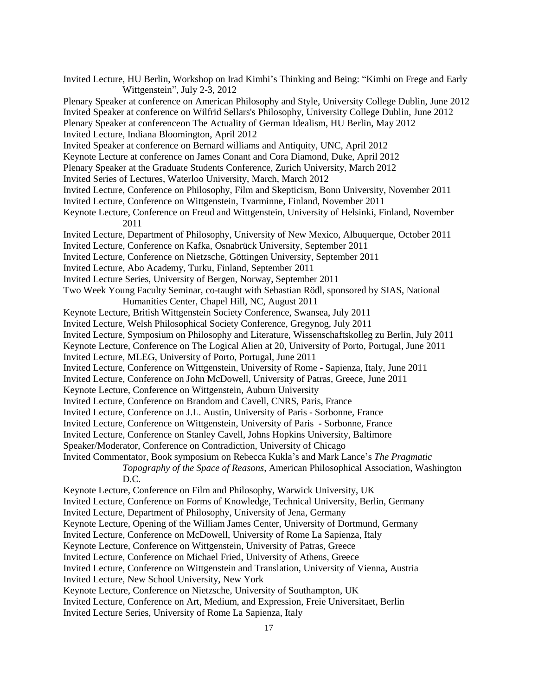Invited Lecture, HU Berlin, Workshop on Irad Kimhi's Thinking and Being: "Kimhi on Frege and Early Wittgenstein", July 2-3, 2012 Plenary Speaker at conference on American Philosophy and Style, University College Dublin, June 2012 Invited Speaker at conference on Wilfrid Sellars's Philosophy, University College Dublin, June 2012 Plenary Speaker at conferenceon The Actuality of German Idealism, HU Berlin, May 2012 Invited Lecture, Indiana Bloomington, April 2012 Invited Speaker at conference on Bernard williams and Antiquity, UNC, April 2012 Keynote Lecture at conference on James Conant and Cora Diamond, Duke, April 2012 Plenary Speaker at the Graduate Students Conference, Zurich University, March 2012 Invited Series of Lectures, Waterloo University, March, March 2012 Invited Lecture, Conference on Philosophy, Film and Skepticism, Bonn University, November 2011 Invited Lecture, Conference on Wittgenstein, Tvarminne, Finland, November 2011 Keynote Lecture, Conference on Freud and Wittgenstein, University of Helsinki, Finland, November 2011 Invited Lecture, Department of Philosophy, University of New Mexico, Albuquerque, October 2011 Invited Lecture, Conference on Kafka, Osnabrück University, September 2011 Invited Lecture, Conference on Nietzsche, Göttingen University, September 2011 Invited Lecture, Abo Academy, Turku, Finland, September 2011 Invited Lecture Series, University of Bergen, Norway, September 2011 Two Week Young Faculty Seminar, co-taught with Sebastian Rödl, sponsored by SIAS, National Humanities Center, Chapel Hill, NC, August 2011 Keynote Lecture, British Wittgenstein Society Conference, Swansea, July 2011 Invited Lecture, Welsh Philosophical Society Conference, Gregynog, July 2011 Invited Lecture, Symposium on Philosophy and Literature, Wissenschaftskolleg zu Berlin, July 2011 Keynote Lecture, Conference on The Logical Alien at 20, University of Porto, Portugal, June 2011 Invited Lecture, MLEG, University of Porto, Portugal, June 2011 Invited Lecture, Conference on Wittgenstein, University of Rome - Sapienza, Italy, June 2011 Invited Lecture, Conference on John McDowell, University of Patras, Greece, June 2011 Keynote Lecture, Conference on Wittgenstein, Auburn University Invited Lecture, Conference on Brandom and Cavell, CNRS, Paris, France Invited Lecture, Conference on J.L. Austin, University of Paris - Sorbonne, France Invited Lecture, Conference on Wittgenstein, University of Paris - Sorbonne, France Invited Lecture, Conference on Stanley Cavell, Johns Hopkins University, Baltimore Speaker/Moderator, Conference on Contradiction, University of Chicago Invited Commentator, Book symposium on Rebecca Kukla's and Mark Lance's *The Pragmatic Topography of the Space of Reasons*, American Philosophical Association, Washington D.C. Keynote Lecture, Conference on Film and Philosophy, Warwick University, UK Invited Lecture, Conference on Forms of Knowledge, Technical University, Berlin, Germany Invited Lecture, Department of Philosophy, University of Jena, Germany Keynote Lecture, Opening of the William James Center, University of Dortmund, Germany Invited Lecture, Conference on McDowell, University of Rome La Sapienza, Italy Keynote Lecture, Conference on Wittgenstein, University of Patras, Greece Invited Lecture, Conference on Michael Fried, University of Athens, Greece Invited Lecture, Conference on Wittgenstein and Translation, University of Vienna, Austria Invited Lecture, New School University, New York Keynote Lecture, Conference on Nietzsche, University of Southampton, UK Invited Lecture, Conference on Art, Medium, and Expression, Freie Universitaet, Berlin Invited Lecture Series, University of Rome La Sapienza, Italy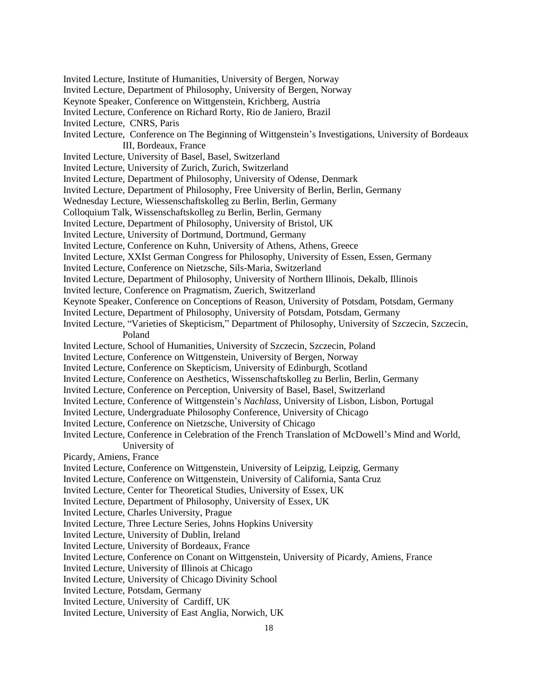- Invited Lecture, Institute of Humanities, University of Bergen, Norway
- Invited Lecture, Department of Philosophy, University of Bergen, Norway
- Keynote Speaker, Conference on Wittgenstein, Krichberg, Austria
- Invited Lecture, Conference on Richard Rorty, Rio de Janiero, Brazil
- Invited Lecture, CNRS, Paris
- Invited Lecture, Conference on The Beginning of Wittgenstein's Investigations, University of Bordeaux III, Bordeaux, France
- Invited Lecture, University of Basel, Basel, Switzerland
- Invited Lecture, University of Zurich, Zurich, Switzerland
- Invited Lecture, Department of Philosophy, University of Odense, Denmark
- Invited Lecture, Department of Philosophy, Free University of Berlin, Berlin, Germany
- Wednesday Lecture, Wiessenschaftskolleg zu Berlin, Berlin, Germany
- Colloquium Talk, Wissenschaftskolleg zu Berlin, Berlin, Germany
- Invited Lecture, Department of Philosophy, University of Bristol, UK
- Invited Lecture, University of Dortmund, Dortmund, Germany
- Invited Lecture, Conference on Kuhn, University of Athens, Athens, Greece
- Invited Lecture, XXIst German Congress for Philosophy, University of Essen, Essen, Germany
- Invited Lecture, Conference on Nietzsche, Sils-Maria, Switzerland
- Invited Lecture, Department of Philosophy, University of Northern Illinois, Dekalb, Illinois
- Invited lecture, Conference on Pragmatism, Zuerich, Switzerland
- Keynote Speaker, Conference on Conceptions of Reason, University of Potsdam, Potsdam, Germany
- Invited Lecture, Department of Philosophy, University of Potsdam, Potsdam, Germany
- Invited Lecture, "Varieties of Skepticism," Department of Philosophy, University of Szczecin, Szczecin, Poland
- Invited Lecture, School of Humanities, University of Szczecin, Szczecin, Poland
- Invited Lecture, Conference on Wittgenstein, University of Bergen, Norway
- Invited Lecture, Conference on Skepticism, University of Edinburgh, Scotland
- Invited Lecture, Conference on Aesthetics, Wissenschaftskolleg zu Berlin, Berlin, Germany
- Invited Lecture, Conference on Perception, University of Basel, Basel, Switzerland
- Invited Lecture, Conference of Wittgenstein's *Nachlass*, University of Lisbon, Lisbon, Portugal
- Invited Lecture, Undergraduate Philosophy Conference, University of Chicago
- Invited Lecture, Conference on Nietzsche, University of Chicago
- Invited Lecture, Conference in Celebration of the French Translation of McDowell's Mind and World, University of
- Picardy, Amiens, France
- Invited Lecture, Conference on Wittgenstein, University of Leipzig, Leipzig, Germany
- Invited Lecture, Conference on Wittgenstein, University of California, Santa Cruz
- Invited Lecture, Center for Theoretical Studies, University of Essex, UK
- Invited Lecture, Department of Philosophy, University of Essex, UK
- Invited Lecture, Charles University, Prague
- Invited Lecture, Three Lecture Series, Johns Hopkins University
- Invited Lecture, University of Dublin, Ireland
- Invited Lecture, University of Bordeaux, France
- Invited Lecture, Conference on Conant on Wittgenstein, University of Picardy, Amiens, France
- Invited Lecture, University of Illinois at Chicago
- Invited Lecture, University of Chicago Divinity School
- Invited Lecture, Potsdam, Germany
- Invited Lecture, University of Cardiff, UK
- Invited Lecture, University of East Anglia, Norwich, UK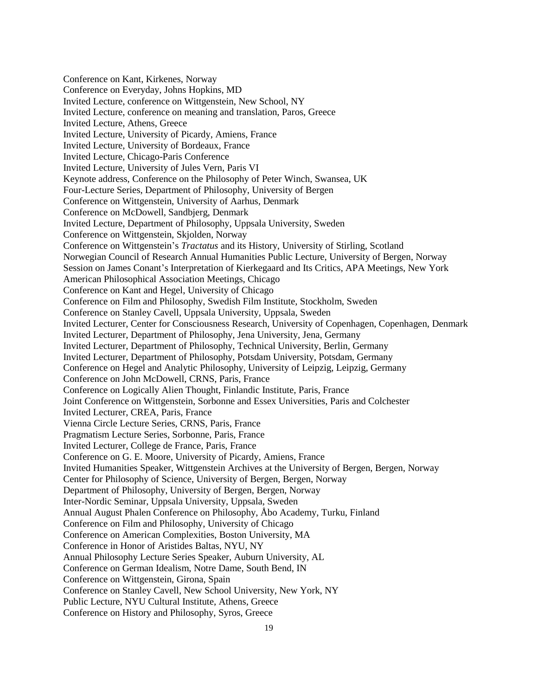Conference on Kant, Kirkenes, Norway Conference on Everyday, Johns Hopkins, MD Invited Lecture, conference on Wittgenstein, New School, NY Invited Lecture, conference on meaning and translation, Paros, Greece Invited Lecture, Athens, Greece Invited Lecture, University of Picardy, Amiens, France Invited Lecture, University of Bordeaux, France Invited Lecture, Chicago-Paris Conference Invited Lecture, University of Jules Vern, Paris VI Keynote address, Conference on the Philosophy of Peter Winch, Swansea, UK Four-Lecture Series, Department of Philosophy, University of Bergen Conference on Wittgenstein, University of Aarhus, Denmark Conference on McDowell, Sandbjerg, Denmark Invited Lecture, Department of Philosophy, Uppsala University, Sweden Conference on Wittgenstein, Skjolden, Norway Conference on Wittgenstein's *Tractatus* and its History, University of Stirling, Scotland Norwegian Council of Research Annual Humanities Public Lecture, University of Bergen, Norway Session on James Conant's Interpretation of Kierkegaard and Its Critics, APA Meetings, New York American Philosophical Association Meetings, Chicago Conference on Kant and Hegel, University of Chicago Conference on Film and Philosophy, Swedish Film Institute, Stockholm, Sweden Conference on Stanley Cavell, Uppsala University, Uppsala, Sweden Invited Lecturer, Center for Consciousness Research, University of Copenhagen, Copenhagen, Denmark Invited Lecturer, Department of Philosophy, Jena University, Jena, Germany Invited Lecturer, Department of Philosophy, Technical University, Berlin, Germany Invited Lecturer, Department of Philosophy, Potsdam University, Potsdam, Germany Conference on Hegel and Analytic Philosophy, University of Leipzig, Leipzig, Germany Conference on John McDowell, CRNS, Paris, France Conference on Logically Alien Thought, Finlandic Institute, Paris, France Joint Conference on Wittgenstein, Sorbonne and Essex Universities, Paris and Colchester Invited Lecturer, CREA, Paris, France Vienna Circle Lecture Series, CRNS, Paris, France Pragmatism Lecture Series, Sorbonne, Paris, France Invited Lecturer, College de France, Paris, France Conference on G. E. Moore, University of Picardy, Amiens, France Invited Humanities Speaker, Wittgenstein Archives at the University of Bergen, Bergen, Norway Center for Philosophy of Science, University of Bergen, Bergen, Norway Department of Philosophy, University of Bergen, Bergen, Norway Inter-Nordic Seminar, Uppsala University, Uppsala, Sweden Annual August Phalen Conference on Philosophy, Åbo Academy, Turku, Finland Conference on Film and Philosophy, University of Chicago Conference on American Complexities, Boston University, MA Conference in Honor of Aristides Baltas, NYU, NY Annual Philosophy Lecture Series Speaker, Auburn University, AL Conference on German Idealism, Notre Dame, South Bend, IN Conference on Wittgenstein, Girona, Spain Conference on Stanley Cavell, New School University, New York, NY Public Lecture, NYU Cultural Institute, Athens, Greece Conference on History and Philosophy, Syros, Greece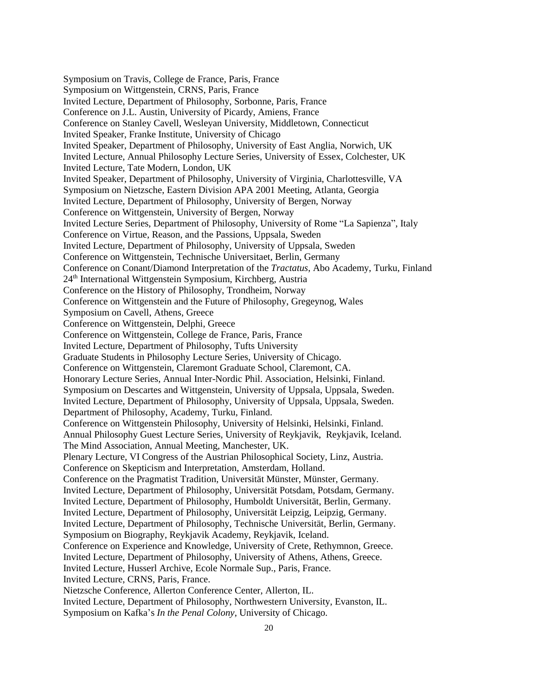Symposium on Travis, College de France, Paris, France Symposium on Wittgenstein, CRNS, Paris, France Invited Lecture, Department of Philosophy, Sorbonne, Paris, France Conference on J.L. Austin, University of Picardy, Amiens, France Conference on Stanley Cavell, Wesleyan University, Middletown, Connecticut Invited Speaker, Franke Institute, University of Chicago Invited Speaker, Department of Philosophy, University of East Anglia, Norwich, UK Invited Lecture, Annual Philosophy Lecture Series, University of Essex, Colchester, UK Invited Lecture, Tate Modern, London, UK Invited Speaker, Department of Philosophy, University of Virginia, Charlottesville, VA Symposium on Nietzsche, Eastern Division APA 2001 Meeting, Atlanta, Georgia Invited Lecture, Department of Philosophy, University of Bergen, Norway Conference on Wittgenstein, University of Bergen, Norway Invited Lecture Series, Department of Philosophy, University of Rome "La Sapienza", Italy Conference on Virtue, Reason, and the Passions, Uppsala, Sweden Invited Lecture, Department of Philosophy, University of Uppsala, Sweden Conference on Wittgenstein, Technische Universitaet, Berlin, Germany Conference on Conant/Diamond Interpretation of the *Tractatus*, Abo Academy, Turku, Finland 24th International Wittgenstein Symposium, Kirchberg, Austria Conference on the History of Philosophy, Trondheim, Norway Conference on Wittgenstein and the Future of Philosophy, Gregeynog, Wales Symposium on Cavell, Athens, Greece Conference on Wittgenstein, Delphi, Greece Conference on Wittgenstein, College de France, Paris, France Invited Lecture, Department of Philosophy, Tufts University Graduate Students in Philosophy Lecture Series, University of Chicago. Conference on Wittgenstein, Claremont Graduate School, Claremont, CA. Honorary Lecture Series, Annual Inter-Nordic Phil. Association, Helsinki, Finland. Symposium on Descartes and Wittgenstein, University of Uppsala, Uppsala, Sweden. Invited Lecture, Department of Philosophy, University of Uppsala, Uppsala, Sweden. Department of Philosophy, Academy, Turku, Finland. Conference on Wittgenstein Philosophy, University of Helsinki, Helsinki, Finland. Annual Philosophy Guest Lecture Series, University of Reykjavik, Reykjavik, Iceland. The Mind Association, Annual Meeting, Manchester, UK. Plenary Lecture, VI Congress of the Austrian Philosophical Society, Linz, Austria. Conference on Skepticism and Interpretation, Amsterdam, Holland. Conference on the Pragmatist Tradition, Universität Münster, Münster, Germany. Invited Lecture, Department of Philosophy, Universität Potsdam, Potsdam, Germany. Invited Lecture, Department of Philosophy, Humboldt Universität, Berlin, Germany. Invited Lecture, Department of Philosophy, Universität Leipzig, Leipzig, Germany. Invited Lecture, Department of Philosophy, Technische Universität, Berlin, Germany. Symposium on Biography, Reykjavik Academy, Reykjavik, Iceland. Conference on Experience and Knowledge, University of Crete, Rethymnon, Greece. Invited Lecture, Department of Philosophy, University of Athens, Athens, Greece. Invited Lecture, Husserl Archive, Ecole Normale Sup., Paris, France. Invited Lecture, CRNS, Paris, France. Nietzsche Conference, Allerton Conference Center, Allerton, IL. Invited Lecture, Department of Philosophy, Northwestern University, Evanston, IL.

Symposium on Kafka's *In the Penal Colony*, University of Chicago.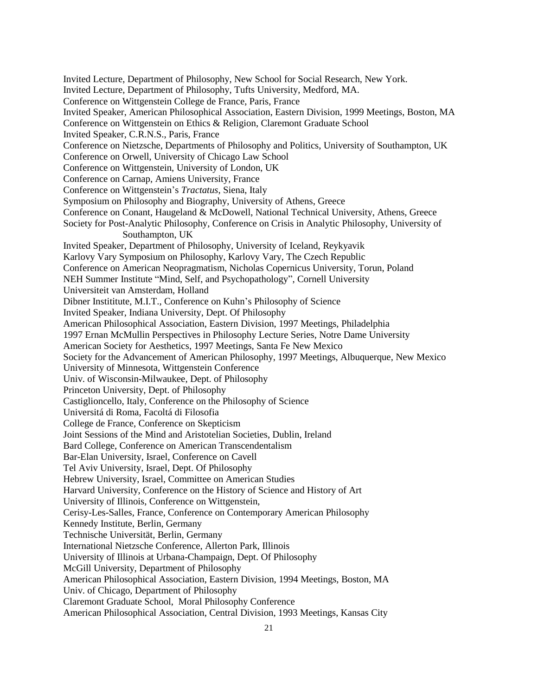Invited Lecture, Department of Philosophy, New School for Social Research, New York. Invited Lecture, Department of Philosophy, Tufts University, Medford, MA. Conference on Wittgenstein College de France, Paris, France Invited Speaker, American Philosophical Association, Eastern Division, 1999 Meetings, Boston, MA Conference on Wittgenstein on Ethics & Religion, Claremont Graduate School Invited Speaker, C.R.N.S., Paris, France Conference on Nietzsche, Departments of Philosophy and Politics, University of Southampton, UK Conference on Orwell, University of Chicago Law School Conference on Wittgenstein, University of London, UK Conference on Carnap, Amiens University, France Conference on Wittgenstein's *Tractatus*, Siena, Italy Symposium on Philosophy and Biography, University of Athens, Greece Conference on Conant, Haugeland & McDowell, National Technical University, Athens, Greece Society for Post-Analytic Philosophy, Conference on Crisis in Analytic Philosophy, University of Southampton, UK Invited Speaker, Department of Philosophy, University of Iceland, Reykyavik Karlovy Vary Symposium on Philosophy, Karlovy Vary, The Czech Republic Conference on American Neopragmatism, Nicholas Copernicus University, Torun, Poland NEH Summer Institute "Mind, Self, and Psychopathology", Cornell University Universiteit van Amsterdam, Holland Dibner Instititute, M.I.T., Conference on Kuhn's Philosophy of Science Invited Speaker, Indiana University, Dept. Of Philosophy American Philosophical Association, Eastern Division, 1997 Meetings, Philadelphia 1997 Ernan McMullin Perspectives in Philosophy Lecture Series, Notre Dame University American Society for Aesthetics, 1997 Meetings, Santa Fe New Mexico Society for the Advancement of American Philosophy, 1997 Meetings, Albuquerque, New Mexico University of Minnesota, Wittgenstein Conference Univ. of Wisconsin-Milwaukee, Dept. of Philosophy Princeton University, Dept. of Philosophy Castiglioncello, Italy, Conference on the Philosophy of Science Universitá di Roma, Facoltá di Filosofia College de France, Conference on Skepticism Joint Sessions of the Mind and Aristotelian Societies, Dublin, Ireland Bard College, Conference on American Transcendentalism Bar-Elan University, Israel, Conference on Cavell Tel Aviv University, Israel, Dept. Of Philosophy Hebrew University, Israel, Committee on American Studies Harvard University, Conference on the History of Science and History of Art University of Illinois, Conference on Wittgenstein, Cerisy-Les-Salles, France, Conference on Contemporary American Philosophy Kennedy Institute, Berlin, Germany Technische Universität, Berlin, Germany International Nietzsche Conference, Allerton Park, Illinois University of Illinois at Urbana-Champaign, Dept. Of Philosophy McGill University, Department of Philosophy American Philosophical Association, Eastern Division, 1994 Meetings, Boston, MA Univ. of Chicago, Department of Philosophy Claremont Graduate School, Moral Philosophy Conference

American Philosophical Association, Central Division, 1993 Meetings, Kansas City